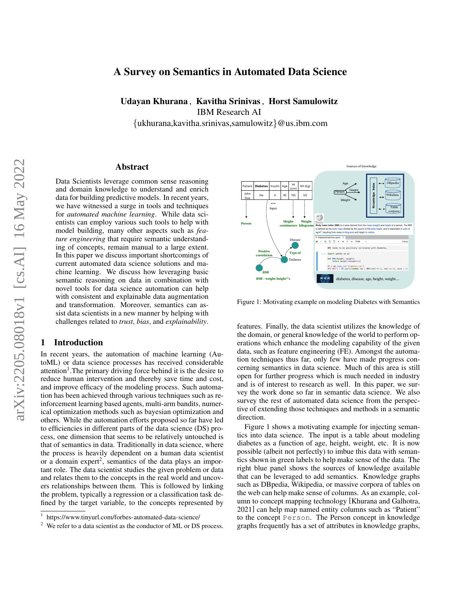# A Survey on Semantics in Automated Data Science

Udayan Khurana , Kavitha Srinivas, Horst Samulowitz

IBM Research AI

{ukhurana,kavitha.srinivas,samulowitz}@us.ibm.com

#### Abstract

Data Scientists leverage common sense reasoning and domain knowledge to understand and enrich data for building predictive models. In recent years, we have witnessed a surge in tools and techniques for *automated machine learning*. While data scientists can employ various such tools to help with model building, many other aspects such as *feature engineering* that require semantic understanding of concepts, remain manual to a large extent. In this paper we discuss important shortcomings of current automated data science solutions and machine learning. We discuss how leveraging basic semantic reasoning on data in combination with novel tools for data science automation can help with consistent and explainable data augmentation and transformation. Moreover, semantics can assist data scientists in a new manner by helping with challenges related to *trust*, *bias*, and *explainability*.

### 1 Introduction

In recent years, the automation of machine learning (AutoML) or data science processes has received considerable attention<sup>[1](#page-0-0)</sup>. The primary driving force behind it is the desire to reduce human intervention and thereby save time and cost, and improve efficacy of the modeling process. Such automation has been achieved through various techniques such as reinforcement learning based agents, multi-arm bandits, numerical optimization methods such as bayesian optimization and others. While the automation efforts proposed so far have led to efficiencies in different parts of the data science (DS) process, one dimension that seems to be relatively untouched is that of semantics in data. Traditionally in data science, where the process is heavily dependent on a human data scientist or a domain expert<sup>[2](#page-0-1)</sup>, semantics of the data plays an important role. The data scientist studies the given problem or data and relates them to the concepts in the real world and uncovers relationships between them. This is followed by linking the problem, typically a regression or a classification task defined by the target variable, to the concepts represented by

<span id="page-0-2"></span>

Figure 1: Motivating example on modeling Diabetes with Semantics

features. Finally, the data scientist utilizes the knowledge of the domain, or general knowledge of the world to perform operations which enhance the modeling capability of the given data, such as feature engineering (FE). Amongst the automation techniques thus far, only few have made progress concerning semantics in data science. Much of this area is still open for further progress which is much needed in industry and is of interest to research as well. In this paper, we survey the work done so far in semantic data science. We also survey the rest of automated data science from the perspective of extending those techniques and methods in a semantic direction.

Figure [1](#page-0-2) shows a motivating example for injecting semantics into data science. The input is a table about modeling diabetes as a function of age, height, weight, etc. It is now possible (albeit not perfectly) to imbue this data with semantics shown in green labels to help make sense of the data. The right blue panel shows the sources of knowledge available that can be leveraged to add semantics. Knowledge graphs such as DBpedia, Wikipedia, or massive corpora of tables on the web can help make sense of columns. As an example, column to concept mapping technology [\[Khurana and Galhotra,](#page-6-0) [2021\]](#page-6-0) can help map named entity columns such as "Patient" to the concept Person. The Person concept in knowledge graphs frequently has a set of attributes in knowledge graphs,

<span id="page-0-0"></span><sup>1</sup> [https://www.tinyurl.com/forbes-automated-data-science/]( https://www.tinyurl.com/forbes-automated-data-science/)

<span id="page-0-1"></span> $2$  We refer to a data scientist as the conductor of ML or DS process.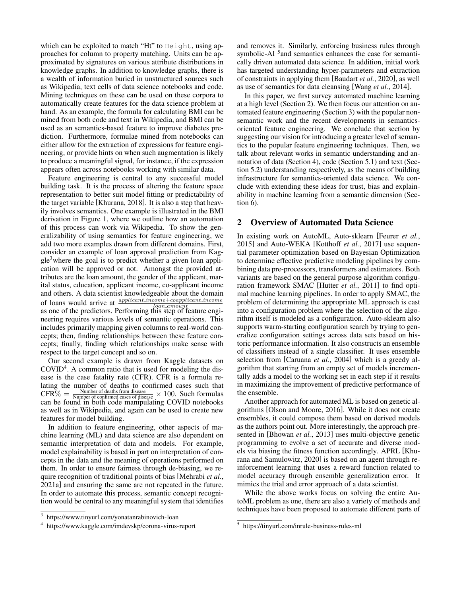which can be exploited to match "Ht" to Height, using approaches for column to property matching. Units can be approximated by signatures on various attribute distributions in knowledge graphs. In addition to knowledge graphs, there is a wealth of information buried in unstructured sources such as Wikipedia, text cells of data science notebooks and code. Mining techniques on these can be used on these corpora to automatically create features for the data science problem at hand. As an example, the formula for calculating BMI can be mined from both code and text in Wikipedia, and BMI can be used as an semantics-based feature to improve diabetes prediction. Furthermore, formulae mined from notebooks can either allow for the extraction of expressions for feature engineering, or provide hints on when such augmentation is likely to produce a meaningful signal, for instance, if the expression appears often across notebooks working with similar data.

Feature engineering is central to any successful model building task. It is the process of altering the feature space representation to better suit model fitting or predictability of the target variable [\[Khurana, 2018\]](#page-7-0). It is also a step that heavily involves semantics. One example is illustrated in the BMI derivation in Figure [1,](#page-0-2) where we outline how an automation of this process can work via Wikipedia. To show the generalizability of using semantics for feature engineering, we add two more examples drawn from different domains. First, consider an example of loan approval prediction from Kag-gle<sup>[3](#page-1-0)</sup> where the goal is to predict whether a given loan application will be approved or not. Amongst the provided attributes are the loan amount, the gender of the applicant, marital status, education, applicant income, co-applicant income and others. A data scientist knowledgeable about the domain of loans would arrive at  $\frac{application}{local\_domain}$ as one of the predictors. Performing this step of feature engineering requires various levels of semantic operations. This includes primarily mapping given columns to real-world concepts; then, finding relationships between these feature concepts; finally, finding which relationships make sense with respect to the target concept and so on.

Our second example is drawn from Kaggle datasets on COVID[4](#page-1-1) . A common ratio that is used for modeling the disease is the case fatality rate (CFR). CFR is a formula relating the number of deaths to confirmed cases such that  $\text{CFR}\% = \frac{\text{Number of deaths from disease}}{\text{Number of confirmed cases of disease}} \times 100.$  Such formulas can be found in both code manipulating COVID notebooks as well as in Wikipedia, and again can be used to create new features for model building.

In addition to feature engineering, other aspects of machine learning (ML) and data science are also dependent on semantic interpretation of data and models. For example, model explainability is based in part on interpretation of concepts in the data and the meaning of operations performed on them. In order to ensure fairness through de-biasing, we require recognition of traditional points of bias [\[Mehrabi](#page-7-1) *et al.*, [2021a\]](#page-7-1) and ensuring the same are not repeated in the future. In order to automate this process, semantic concept recognition would be central to any meaningful system that identifies

<span id="page-1-0"></span>3 <https://www.tinyurl.com/yonatanrabinovich-loan>

and removes it. Similarly, enforcing business rules through symbolic-AI<sup>[5](#page-1-2)</sup> and semantics enhances the case for semantically driven automated data science. In addition, initial work has targeted understanding hyper-parameters and extraction of constraints in applying them [\[Baudart](#page-5-0) *et al.*, 2020], as well as use of semantics for data cleansing [Wang *et al.*[, 2014\]](#page-7-2).

In this paper, we first survey automated machine learning at a high level (Section [2\)](#page-1-3). We then focus our attention on automated feature engineering (Section [3\)](#page-2-0) with the popular nonsemantic work and the recent developments in semanticsoriented feature engineering. We conclude that section by suggesting our vision for introducing a greater level of semantics to the popular feature engineering techniques. Then, we talk about relevant works in semantic understanding and annotation of data (Section [4\)](#page-3-0), code (Section [5.1\)](#page-4-0) and text (Section [5.2\)](#page-4-1) understanding respectively, as the means of building infrastructure for semantics-oriented data science. We conclude with extending these ideas for trust, bias and explainability in machine learning from a semantic dimension (Section [6\)](#page-4-2).

## <span id="page-1-3"></span>2 Overview of Automated Data Science

In existing work on AutoML, Auto-sklearn [\[Feurer](#page-6-1) *et al.*, [2015\]](#page-6-1) and Auto-WEKA [\[Kotthoff](#page-7-3) *et al.*, 2017] use sequential parameter optimization based on Bayesian Optimization to determine effective predictive modeling pipelines by combining data pre-processors, transformers and estimators. Both variants are based on the general purpose algorithm configuration framework SMAC [Hutter *et al.*[, 2011\]](#page-6-2) to find optimal machine learning pipelines. In order to apply SMAC, the problem of determining the appropriate ML approach is cast into a configuration problem where the selection of the algorithm itself is modeled as a configuration. Auto-sklearn also supports warm-starting configuration search by trying to generalize configuration settings across data sets based on historic performance information. It also constructs an ensemble of classifiers instead of a single classifier. It uses ensemble selection from [\[Caruana](#page-6-3) *et al.*, 2004] which is a greedy algorithm that starting from an empty set of models incrementally adds a model to the working set in each step if it results in maximizing the improvement of predictive performance of the ensemble.

Another approach for automated ML is based on genetic algorithms [\[Olson and Moore, 2016\]](#page-7-4). While it does not create ensembles, it could compose them based on derived models as the authors point out. More interestingly, the approach presented in [\[Bhowan](#page-6-4) *et al.*, 2013] uses multi-objective genetic programming to evolve a set of accurate and diverse models via biasing the fitness function accordingly. APRL [\[Khu](#page-7-5)[rana and Samulowitz, 2020\]](#page-7-5) is based on an agent through reinforcement learning that uses a reward function related to model accuracy through ensemble generalization error. It mimics the trial and error approach of a data scientist.

While the above works focus on solving the entire AutoML problem as one, there are also a variety of methods and techniques have been proposed to automate different parts of

<span id="page-1-1"></span><sup>4</sup> <https://www.kaggle.com/imdevskp/corona-virus-report>

<span id="page-1-2"></span><sup>5</sup> <https://tinyurl.com/inrule-business-rules-ml>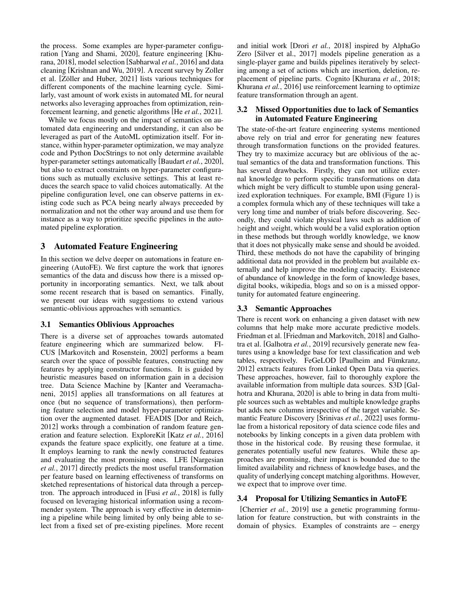the process. Some examples are hyper-parameter configuration [\[Yang and Shami, 2020\]](#page-7-6), feature engineering [\[Khu](#page-7-0)[rana, 2018\]](#page-7-0), model selection [\[Sabharwal](#page-7-7) *et al.*, 2016] and data cleaning [\[Krishnan and Wu, 2019\]](#page-7-8). A recent survey by Zoller et al. [Zöller and Huber, 2021] lists various techniques for different components of the machine learning cycle. Similarly, vast amount of work exists in automated ML for neural networks also leveraging approaches from optimization, reinforcement learning, and genetic algorithms [He *et al.*[, 2021\]](#page-6-5).

While we focus mostly on the impact of semantics on automated data engineering and understanding, it can also be leveraged as part of the AutoML optimization itself. For instance, within hyper-parameter optimization, we may analyze code and Python DocStrings to not only determine available hyper-parameter settings automatically [\[Baudart](#page-5-0) *et al.*, 2020], but also to extract constraints on hyper-parameter configurations such as mutually exclusive settings. This at least reduces the search space to valid choices automatically. At the pipeline configuration level, one can observe patterns in existing code such as PCA being nearly always preceeded by normalization and not the other way around and use them for instance as a way to prioritize specific pipelines in the automated pipeline exploration.

## <span id="page-2-0"></span>3 Automated Feature Engineering

In this section we delve deeper on automations in feature engineering (AutoFE). We first capture the work that ignores semantics of the data and discuss how there is a missed opportunity in incorporating semantics. Next, we talk about some recent research that is based on semantics. Finally, we present our ideas with suggestions to extend various semantic-oblivious approaches with semantics.

#### <span id="page-2-1"></span>3.1 Semantics Oblivious Approaches

There is a diverse set of approaches towards automated feature engineering which are summarized below. FI-CUS [\[Markovitch and Rosenstein, 2002\]](#page-7-9) performs a beam search over the space of possible features, constructing new features by applying constructor functions. It is guided by heuristic measures based on information gain in a decision tree. Data Science Machine by [\[Kanter and Veeramacha](#page-6-6)[neni, 2015\]](#page-6-6) applies all transformations on all features at once (but no sequence of transformations), then performing feature selection and model hyper-parameter optimization over the augmented dataset. FEADIS [\[Dor and Reich,](#page-6-7) [2012\]](#page-6-7) works through a combination of random feature generation and feature selection. ExploreKit [Katz *et al.*[, 2016\]](#page-6-8) expands the feature space explicitly, one feature at a time. It employs learning to rank the newly constructed features and evaluating the most promising ones. LFE [\[Nargesian](#page-7-10) *et al.*[, 2017\]](#page-7-10) directly predicts the most useful transformation per feature based on learning effectiveness of transforms on sketched representations of historical data through a perceptron. The approach introduced in [Fusi *et al.*[, 2018\]](#page-6-9) is fully focused on leveraging historical information using a recommender system. The approach is very effective in determining a pipeline while being limited by only being able to select from a fixed set of pre-existing pipelines. More recent and initial work [Drori *et al.*[, 2018\]](#page-6-10) inspired by AlphaGo Zero [\[Silver et al., 2017\]](#page-7-11) models pipeline generation as a single-player game and builds pipelines iteratively by selecting among a set of actions which are insertion, deletion, replacement of pipeline parts. Cognito [\[Khurana](#page-7-12) *et al.*, 2018; [Khurana](#page-7-13) *et al.*, 2016] use reinforcement learning to optimize feature transformation through an agent.

#### 3.2 Missed Opportunities due to lack of Semantics in Automated Feature Engineering

The state-of-the-art feature engineering systems mentioned above rely on trial and error for generating new features through transformation functions on the provided features. They try to maximize accuracy but are oblivious of the actual semantics of the data and transformation functions. This has several drawbacks. Firstly, they can not utilize external knowledge to perform specific transformations on data which might be very difficult to stumble upon using generalized exploration techniques. For example, BMI (Figure [1\)](#page-0-2) is a complex formula which any of these techniques will take a very long time and number of trials before discovering. Secondly, they could violate physical laws such as addition of height and weight, which would be a valid exploration option in these methods but through worldly knowledge, we know that it does not physically make sense and should be avoided. Third, these methods do not have the capability of bringing additional data not provided in the problem but available externally and help improve the modeling capacity. Existence of abundance of knowledge in the form of knowledge bases, digital books, wikipedia, blogs and so on is a missed opportunity for automated feature engineering.

## 3.3 Semantic Approaches

There is recent work on enhancing a given dataset with new columns that help make more accurate predictive models. Friedman et al. [\[Friedman and Markovitch, 2018\]](#page-6-11) and Galhotra et al. [\[Galhotra](#page-6-12) *et al.*, 2019] recursively generate new features using a knowledge base for text classification and web tables, respectively. FeGeLOD [Paulheim and Fümkranz, [2012\]](#page-7-14) extracts features from Linked Open Data via queries. These approaches, however, fail to thoroughly explore the available information from multiple data sources. S3D [\[Gal](#page-6-13)[hotra and Khurana, 2020\]](#page-6-13) is able to bring in data from multiple sources such as webtables and multiple knowledge graphs but adds new columns irrespective of the target variable. Semantic Feature Discovery [\[Srinivas](#page-7-15) *et al.*, 2022] uses formulae from a historical repository of data science code files and notebooks by linking concepts in a given data problem with those in the historical code. By reusing these formulae, it generates potentially useful new features. While these approaches are promising, their impact is bounded due to the limited availability and richness of knowledge bases, and the quality of underlying concept matching algorithms. However, we expect that to improve over time.

#### 3.4 Proposal for Utilizing Semantics in AutoFE

[\[Cherrier](#page-6-14) *et al.*, 2019] use a genetic programming formulation for feature construction, but with constraints in the domain of physics. Examples of constraints are – energy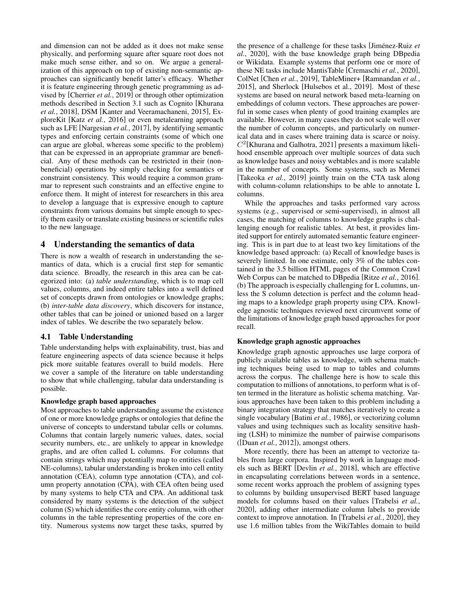and dimension can not be added as it does not make sense physically, and performing square after square root does not make much sense either, and so on. We argue a generalization of this approach on top of existing non-semantic approaches can significantly benefit latter's efficacy. Whether it is feature engineering through genetic programming as advised by [\[Cherrier](#page-6-14) *et al.*, 2019] or through other optimization methods described in Section [3.1](#page-2-1) such as Cognito [\[Khurana](#page-7-12) *et al.*[, 2018\]](#page-7-12), DSM [\[Kanter and Veeramachaneni, 2015\]](#page-6-6), ExploreKit [Katz *et al.*[, 2016\]](#page-6-8) or even metalearning approach such as LFE [\[Nargesian](#page-7-10) *et al.*, 2017], by identifying semantic types and enforcing certain constraints (some of which one can argue are global, whereas some specific to the problem) that can be expressed in an appropriate grammar are beneficial. Any of these methods can be restricted in their (nonbeneficial) operations by simply checking for semantics or constraint consistency. This would require a common grammar to represent such constraints and an effective engine to enforce them. It might of interest for researchers in this area to develop a language that is expressive enough to capture constraints from various domains but simple enough to specify them easily or translate existing business or scientific rules to the new language.

## <span id="page-3-0"></span>4 Understanding the semantics of data

There is now a wealth of research in understanding the semantics of data, which is a crucial first step for semantic data science. Broadly, the research in this area can be categorized into: (a) *table understanding*, which is to map cell values, columns, and indeed entire tables into a well defined set of concepts drawn from ontologies or knowledge graphs; (b) *inter-table data discovery*, which discovers for instance, other tables that can be joined or unioned based on a larger index of tables. We describe the two separately below.

## 4.1 Table Understanding

Table understanding helps with explainability, trust, bias and feature engineering aspects of data science because it helps pick more suitable features overall to build models. Here we cover a sample of the literature on table understanding to show that while challenging, tabular data understanding is possible.

#### Knowledge graph based approaches

Most approaches to table understanding assume the existence of one or more knowledge graphs or ontologies that define the universe of concepts to understand tabular cells or columns. Columns that contain largely numeric values, dates, social security numbers, etc., are unlikely to appear in knowledge graphs, and are often called L columns. For columns that contain strings which may potentially map to entities (called NE-columns), tabular understanding is broken into cell entity annotation (CEA), column type annotation (CTA), and column property annotation (CPA), with CEA often being used by many systems to help CTA and CPA. An additional task considered by many systems is the detection of the subject column (S) which identifies the core entity column, with other columns in the table representing properties of the core entity. Numerous systems now target these tasks, spurred by the presence of a challenge for these tasks [Jiménez-Ruiz *et al.*[, 2020\]](#page-6-15), with the base knowledge graph being DBpedia or Wikidata. Example systems that perform one or more of these NE tasks include MantisTable [\[Cremaschi](#page-6-16) *et al.*, 2020], ColNet [Chen *et al.*[, 2019\]](#page-6-17), TableMiner+ [\[Ramnandan](#page-7-16) *et al.*, [2015\]](#page-7-16), and Sherlock [\[Hulsebos et al., 2019\]](#page-6-18). Most of these systems are based on neural network based meta-learning on embeddings of column vectors. These approaches are powerful in some cases when plenty of good training examples are available. However, in many cases they do not scale well over the number of column concepts, and particularly on numerical data and in cases where training data is scarce or noisy.  $C<sup>2</sup>$ [\[Khurana and Galhotra, 2021\]](#page-6-0) presents a maximum likelihood ensemble approach over multiple sources of data such as knowledge bases and noisy webtables and is more scalable in the number of concepts. Some systems, such as Memei [\[Takeoka](#page-7-17) *et al.*, 2019] jointly train on the CTA task along with column-column relationships to be able to annotate L columns.

While the approaches and tasks performed vary across systems (e.g., supervised or semi-supervised), in almost all cases, the matching of columns to knowledge graphs is challenging enough for realistic tables. At best, it provides limited support for entirely automated semantic feature engineering. This is in part due to at least two key limitations of the knowledge based approach: (a) Recall of knowledge bases is severely limited. In one estimate, only 3% of the tables contained in the 3.5 billion HTML pages of the Common Crawl Web Corpus can be matched to DBpedia [Ritze *et al.*[, 2016\]](#page-7-18). (b) The approach is especially challenging for L columns, unless the S column detection is perfect and the column heading maps to a knowledge graph property using CPA. Knowledge agnostic techniques reviewed next circumvent some of the limitations of knowledge graph based approaches for poor recall.

#### Knowledge graph agnostic approaches

Knowledge graph agnostic approaches use large corpora of publicly available tables as knowledge, with schema matching techniques being used to map to tables and columns across the corpus. The challenge here is how to scale this computation to millions of annotations, to perform what is often termed in the literature as holistic schema matching. Various approaches have been taken to this problem including a binary integration strategy that matches iteratively to create a single vocabulary [Batini *et al.*[, 1986\]](#page-5-1), or vectorizing column values and using techniques such as locality sensitive hashing (LSH) to minimize the number of pairwise comparisons ([Duan *et al.*[, 2012\]](#page-6-19)), amongst others.

More recently, there has been an attempt to vectorize tables from large corpora. Inspired by work in language models such as BERT [\[Devlin](#page-6-20) *et al.*, 2018], which are effective in encapsulating correlations between words in a sentence, some recent works approach the problem of assigning types to columns by building unsupervised BERT based language models for columns based on their values [\[Trabelsi](#page-7-19) *et al.*, [2020\]](#page-7-19), adding other intermediate column labels to provide context to improve annotation. In [\[Trabelsi](#page-7-19) *et al.*, 2020], they use 1.6 million tables from the WikiTables domain to build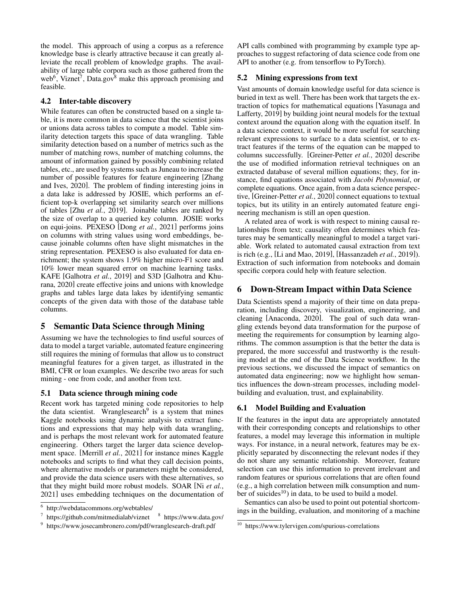the model. This approach of using a corpus as a reference knowledge base is clearly attractive because it can greatly alleviate the recall problem of knowledge graphs. The availability of large table corpora such as those gathered from the web<sup>[6](#page-4-3)</sup>, Viznet<sup>[7](#page-4-4)</sup>, Data.gov<sup>[8](#page-4-5)</sup> make this approach promising and feasible.

### 4.2 Inter-table discovery

While features can often be constructed based on a single table, it is more common in data science that the scientist joins or unions data across tables to compute a model. Table similarity detection targets this space of data wrangling. Table similarity detection based on a number of metrics such as the number of matching rows, number of matching columns, the amount of information gained by possibly combining related tables, etc., are used by systems such as Juneau to increase the number of possible features for feature engineering [\[Zhang](#page-7-20) [and Ives, 2020\]](#page-7-20). The problem of finding interesting joins in a data lake is addressed by JOSIE, which performs an efficient top-k overlapping set similarity search over millions of tables [Zhu *et al.*[, 2019\]](#page-7-21). Joinable tables are ranked by the size of overlap to a queried key column. JOSIE works on equi-joins. PEXESO [Dong *et al.*[, 2021\]](#page-6-21) performs joins on columns with string values using word embeddings, because joinable columns often have slight mismatches in the string representation. PEXESO is also evaluated for data enrichment; the system shows 1.9% higher micro-F1 score and 10% lower mean squared error on machine learning tasks. KAFE [\[Galhotra](#page-6-12) *et al.*, 2019] and S3D [\[Galhotra and Khu](#page-6-13)[rana, 2020\]](#page-6-13) create effective joins and unions with knowledge graphs and tables large data lakes by identifying semantic concepts of the given data with those of the database table columns.

## 5 Semantic Data Science through Mining

Assuming we have the technologies to find useful sources of data to model a target variable, automated feature engineering still requires the mining of formulas that allow us to construct meaningful features for a given target, as illustrated in the BMI, CFR or loan examples. We describe two areas for such mining - one from code, and another from text.

#### <span id="page-4-0"></span>5.1 Data science through mining code

Recent work has targeted mining code repositories to help the data scientist. Wranglesearch<sup>[9](#page-4-6)</sup> is a system that mines Kaggle notebooks using dynamic analysis to extract functions and expressions that may help with data wrangling, and is perhaps the most relevant work for automated feature engineering. Others target the larger data science development space. [\[Merrill](#page-7-22) *et al.*, 2021] for instance mines Kaggle notebooks and scripts to find what they call decision points, where alternative models or parameters might be considered, and provide the data science users with these alternatives, so that they might build more robust models. SOAR [Ni *[et al.](#page-7-23)*, [2021\]](#page-7-23) uses embedding techniques on the documentation of API calls combined with programming by example type approaches to suggest refactoring of data science code from one API to another (e.g. from tensorflow to PyTorch).

#### <span id="page-4-1"></span>5.2 Mining expressions from text

Vast amounts of domain knowledge useful for data science is buried in text as well. There has been work that targets the extraction of topics for mathematical equations [\[Yasunaga and](#page-7-24) [Lafferty, 2019\]](#page-7-24) by building joint neural models for the textual context around the equation along with the equation itself. In a data science context, it would be more useful for searching relevant expressions to surface to a data scientist, or to extract features if the terms of the equation can be mapped to columns successfully. [\[Greiner-Petter](#page-6-22) *et al.*, 2020] describe the use of modified information retrieval techniques on an extracted database of several million equations; they, for instance, find equations associated with *Jacobi Polynomial*, or complete equations. Once again, from a data science perspective, [\[Greiner-Petter](#page-6-22) *et al.*, 2020] connect equations to textual topics, but its utility in an entirely automated feature engineering mechanism is still an open question.

A related area of work is with respect to mining causal relationships from text; causality often determines which features may be semantically meaningful to model a target variable. Work related to automated causal extraction from text is rich (e.g., [\[Li and Mao, 2019\]](#page-7-25), [\[Hassanzadeh](#page-6-23) *et al.*, 2019]). Extraction of such information from notebooks and domain specific corpora could help with feature selection.

## <span id="page-4-2"></span>6 Down-Stream Impact within Data Science

Data Scientists spend a majority of their time on data preparation, including discovery, visualization, engineering, and cleaning [\[Anaconda, 2020\]](#page-5-2). The goal of such data wrangling extends beyond data transformation for the purpose of meeting the requirements for consumption by learning algorithms. The common assumption is that the better the data is prepared, the more successful and trustworthy is the resulting model at the end of the Data Science workflow. In the previous sections, we discussed the impact of semantics on automated data engineering; now we highlight how semantics influences the down-stream processes, including modelbuilding and evaluation, trust, and explainability.

#### 6.1 Model Building and Evaluation

If the features in the input data are appropriately annotated with their corresponding concepts and relationships to other features, a model may leverage this information in multiple ways. For instance, in a neural network, features may be explicitly separated by disconnecting the relevant nodes if they do not share any semantic relationship. Moreover, feature selection can use this information to prevent irrelevant and random features or spurious correlations that are often found (e.g., a high correlation between milk consumption and num-ber of suicides<sup>[10](#page-4-7)</sup>) in data, to be used to build a model.

Semantics can also be used to point out potential shortcomings in the building, evaluation, and monitoring of a machine

<span id="page-4-3"></span><sup>6</sup> <http://webdatacommons.org/webtables/>

<span id="page-4-4"></span><sup>&</sup>lt;sup>7</sup> <https://github.com/mitmedialab/viznet> <sup>8</sup> <https://www.data.gov/>

<span id="page-4-6"></span><sup>&</sup>lt;sup>9</sup> <https://www.josecambronero.com/pdf/wranglesearch-draft.pdf>

<span id="page-4-7"></span><span id="page-4-5"></span><sup>10</sup> https://www.tylervigen.com/spurious-correlations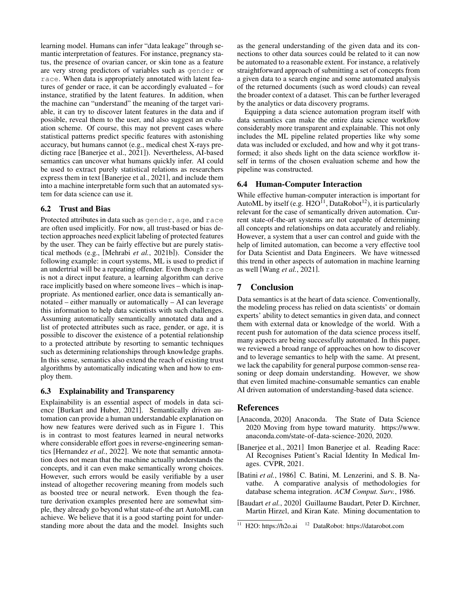learning model. Humans can infer "data leakage" through semantic interpretation of features. For instance, pregnancy status, the presence of ovarian cancer, or skin tone as a feature are very strong predictors of variables such as gender or race. When data is appropriately annotated with latent features of gender or race, it can be accordingly evaluated – for instance, stratified by the latent features. In addition, when the machine can "understand" the meaning of the target variable, it can try to discover latent features in the data and if possible, reveal them to the user, and also suggest an evaluation scheme. Of course, this may not prevent cases where statistical patterns predict specific features with astonishing accuracy, but humans cannot (e.g., medical chest X-rays predicting race [\[Banerjee et al., 2021\]](#page-5-3)). Nevertheless, AI-based semantics can uncover what humans quickly infer. AI could be used to extract purely statistical relations as researchers express them in text [\[Banerjee et al., 2021\]](#page-5-3), and include them into a machine interpretable form such that an automated system for data science can use it.

## 6.2 Trust and Bias

Protected attributes in data such as gender, age, and race are often used implicitly. For now, all trust-based or bias detection approaches need explicit labeling of protected features by the user. They can be fairly effective but are purely statistical methods (e.g., [\[Mehrabi](#page-7-26) *et al.*, 2021b]). Consider the following example: in court systems, ML is used to predict if an undertrial will be a repeating offender. Even though race is not a direct input feature, a learning algorithm can derive race implicitly based on where someone lives – which is inappropriate. As mentioned earlier, once data is semantically annotated – either manually or automatically – AI can leverage this information to help data scientists with such challenges. Assuming automatically semantically annotated data and a list of protected attributes such as race, gender, or age, it is possible to discover the existence of a potential relationship to a protected attribute by resorting to semantic techniques such as determining relationships through knowledge graphs. In this sense, semantics also extend the reach of existing trust algorithms by automatically indicating when and how to employ them.

## 6.3 Explainability and Transparency

Explainability is an essential aspect of models in data science [\[Burkart and Huber, 2021\]](#page-6-24). Semantically driven automation can provide a human understandable explanation on how new features were derived such as in Figure [1.](#page-0-2) This is in contrast to most features learned in neural networks where considerable effort goes in reverse-engineering semantics [\[Hernandez](#page-6-25) *et al.*, 2022]. We note that semantic annotation does not mean that the machine actually understands the concepts, and it can even make semantically wrong choices. However, such errors would be easily verifiable by a user instead of altogether recovering meaning from models such as boosted tree or neural network. Even though the feature derivation examples presented here are somewhat simple, they already go beyond what state-of-the art AutoML can achieve. We believe that it is a good starting point for understanding more about the data and the model. Insights such as the general understanding of the given data and its connections to other data sources could be related to it can now be automated to a reasonable extent. For instance, a relatively straightforward approach of submitting a set of concepts from a given data to a search engine and some automated analysis of the returned documents (such as word clouds) can reveal the broader context of a dataset. This can be further leveraged by the analytics or data discovery programs.

Equipping a data science automation program itself with data semantics can make the entire data science workflow considerably more transparent and explainable. This not only includes the ML pipeline related properties like why some data was included or excluded, and how and why it got transformed; it also sheds light on the data science workflow itself in terms of the chosen evaluation scheme and how the pipeline was constructed.

## 6.4 Human-Computer Interaction

While effective human-computer interaction is important for AutoML by itself (e.g.  $H2O<sup>11</sup>$  $H2O<sup>11</sup>$  $H2O<sup>11</sup>$ , DataRobot<sup>[12](#page-5-5)</sup>), it is particularly relevant for the case of semantically driven automation. Current state-of-the-art systems are not capable of determining all concepts and relationships on data accurately and reliably. However, a system that a user can control and guide with the help of limited automation, can become a very effective tool for Data Scientist and Data Engineers. We have witnessed this trend in other aspects of automation in machine learning as well [Wang *et al.*[, 2021\]](#page-7-27).

# 7 Conclusion

Data semantics is at the heart of data science. Conventionally, the modeling process has relied on data scientists' or domain experts' ability to detect semantics in given data, and connect them with external data or knowledge of the world. With a recent push for automation of the data science process itself, many aspects are being successfully automated. In this paper, we reviewed a broad range of approaches on how to discover and to leverage semantics to help with the same. At present, we lack the capability for general purpose common-sense reasoning or deep domain understanding. However, we show that even limited machine-consumable semantics can enable AI driven automation of understanding-based data science.

## **References**

- <span id="page-5-2"></span>[Anaconda, 2020] Anaconda. The State of Data Science 2020 Moving from hype toward maturity. [https://www.](https://www.anaconda.com/state-of-data-science-2020) [anaconda.com/state-of-data-science-2020,](https://www.anaconda.com/state-of-data-science-2020) 2020.
- <span id="page-5-3"></span>[Banerjee et al., 2021] Imon Banerjee et al. Reading Race: AI Recognises Patient's Racial Identity In Medical Images. CVPR, 2021.
- <span id="page-5-1"></span>[Batini et al., 1986] C. Batini, M. Lenzerini, and S. B. Navathe. A comparative analysis of methodologies for database schema integration. *ACM Comput. Surv.*, 1986.
- <span id="page-5-0"></span>[Baudart *et al.*, 2020] Guillaume Baudart, Peter D. Kirchner, Martin Hirzel, and Kiran Kate. Mining documentation to

<span id="page-5-5"></span><span id="page-5-4"></span><sup>11</sup> H2O:<https://h2o.ai> <sup>12</sup> DataRobot:<https://datarobot.com>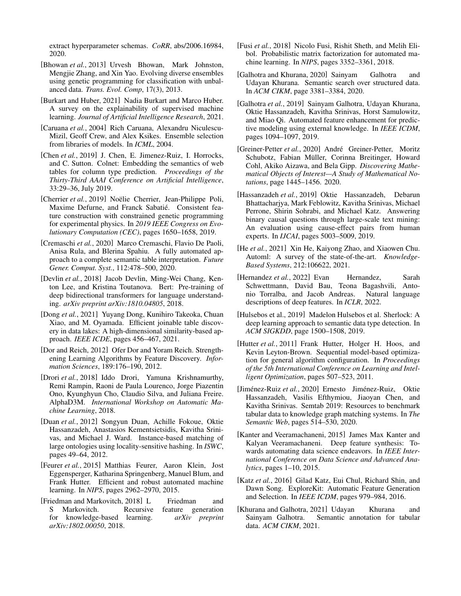extract hyperparameter schemas. *CoRR*, abs/2006.16984, 2020.

- <span id="page-6-4"></span>[Bhowan *et al.*, 2013] Urvesh Bhowan, Mark Johnston, Mengjie Zhang, and Xin Yao. Evolving diverse ensembles using genetic programming for classification with unbalanced data. *Trans. Evol. Comp*, 17(3), 2013.
- <span id="page-6-24"></span>[Burkart and Huber, 2021] Nadia Burkart and Marco Huber. A survey on the explainability of supervised machine learning. *Journal of Artificial Intelligence Research*, 2021.
- <span id="page-6-3"></span>[Caruana *et al.*, 2004] Rich Caruana, Alexandru Niculescu-Mizil, Geoff Crew, and Alex Ksikes. Ensemble selection from libraries of models. In *ICML*, 2004.
- <span id="page-6-17"></span>[Chen *et al.*, 2019] J. Chen, E. Jimenez-Ruiz, I. Horrocks, and C. Sutton. Colnet: Embedding the semantics of web tables for column type prediction. *Proceedings of the Thirty-Third AAAI Conference on Artificial Intelligence*, 33:29–36, July 2019.
- <span id="page-6-14"></span>[Cherrier et al., 2019] Noëlie Cherrier, Jean-Philippe Poli, Maxime Defurne, and Franck Sabatié. Consistent feature construction with constrained genetic programming for experimental physics. In *2019 IEEE Congress on Evolutionary Computation (CEC)*, pages 1650–1658, 2019.
- <span id="page-6-16"></span>[Cremaschi *et al.*, 2020] Marco Cremaschi, Flavio De Paoli, Anisa Rula, and Blerina Spahiu. A fully automated approach to a complete semantic table interpretation. *Future Gener. Comput. Syst.*, 112:478–500, 2020.
- <span id="page-6-20"></span>[Devlin *et al.*, 2018] Jacob Devlin, Ming-Wei Chang, Kenton Lee, and Kristina Toutanova. Bert: Pre-training of deep bidirectional transformers for language understanding. *arXiv preprint arXiv:1810.04805*, 2018.
- <span id="page-6-21"></span>[Dong *et al.*, 2021] Yuyang Dong, Kunihiro Takeoka, Chuan Xiao, and M. Oyamada. Efficient joinable table discovery in data lakes: A high-dimensional similarity-based approach. *IEEE ICDE*, pages 456–467, 2021.
- <span id="page-6-7"></span>[Dor and Reich, 2012] Ofer Dor and Yoram Reich. Strengthening Learning Algorithms by Feature Discovery. *Information Sciences*, 189:176–190, 2012.
- <span id="page-6-10"></span>[Drori *et al.*, 2018] Iddo Drori, Yamuna Krishnamurthy, Remi Rampin, Raoni de Paula Lourenco, Jorge Piazentin Ono, Kyunghyun Cho, Claudio Silva, and Juliana Freire. AlphaD3M. *International Workshop on Automatic Machine Learning*, 2018.
- <span id="page-6-19"></span>[Duan *et al.*, 2012] Songyun Duan, Achille Fokoue, Oktie Hassanzadeh, Anastasios Kementsietsidis, Kavitha Srinivas, and Michael J. Ward. Instance-based matching of large ontologies using locality-sensitive hashing. In *ISWC*, pages 49–64, 2012.
- <span id="page-6-1"></span>[Feurer et al., 2015] Matthias Feurer, Aaron Klein, Jost Eggensperger, Katharina Springenberg, Manuel Blum, and Frank Hutter. Efficient and robust automated machine learning. In *NIPS*, pages 2962–2970, 2015.
- <span id="page-6-11"></span>[Friedman and Markovitch, 2018] L Friedman and S Markovitch. Recursive feature generation for knowledge-based learning. *arXiv preprint arXiv:1802.00050*, 2018.
- <span id="page-6-9"></span>[Fusi *et al.*, 2018] Nicolo Fusi, Rishit Sheth, and Melih Elibol. Probabilistic matrix factorization for automated machine learning. In *NIPS*, pages 3352–3361, 2018.
- <span id="page-6-13"></span>[Galhotra and Khurana, 2020] Sainyam Galhotra and Udayan Khurana. Semantic search over structured data. In *ACM CIKM*, page 3381–3384, 2020.
- <span id="page-6-12"></span>[Galhotra *et al.*, 2019] Sainyam Galhotra, Udayan Khurana, Oktie Hassanzadeh, Kavitha Srinivas, Horst Samulowitz, and Miao Qi. Automated feature enhancement for predictive modeling using external knowledge. In *IEEE ICDM*, pages 1094–1097, 2019.
- <span id="page-6-22"></span>[Greiner-Petter et al., 2020] André Greiner-Petter, Moritz Schubotz, Fabian Müller, Corinna Breitinger, Howard Cohl, Akiko Aizawa, and Bela Gipp. *Discovering Mathematical Objects of Interest—A Study of Mathematical Notations*, page 1445–1456. 2020.
- <span id="page-6-23"></span>[Hassanzadeh *et al.*, 2019] Oktie Hassanzadeh, Debarun Bhattacharjya, Mark Feblowitz, Kavitha Srinivas, Michael Perrone, Shirin Sohrabi, and Michael Katz. Answering binary causal questions through large-scale text mining: An evaluation using cause-effect pairs from human experts. In *IJCAI*, pages 5003–5009, 2019.
- <span id="page-6-5"></span>[He *et al.*, 2021] Xin He, Kaiyong Zhao, and Xiaowen Chu. Automl: A survey of the state-of-the-art. *Knowledge-Based Systems*, 212:106622, 2021.
- <span id="page-6-25"></span>[Hernandez *et al.*, 2022] Evan Hernandez, Sarah Schwettmann, David Bau, Teona Bagashvili, Antonio Torralba, and Jacob Andreas. Natural language descriptions of deep features. In *ICLR*, 2022.
- <span id="page-6-18"></span>[Hulsebos et al., 2019] Madelon Hulsebos et al. Sherlock: A deep learning approach to semantic data type detection. In *ACM SIGKDD*, page 1500–1508, 2019.
- <span id="page-6-2"></span>[Hutter *et al.*, 2011] Frank Hutter, Holger H. Hoos, and Kevin Leyton-Brown. Sequential model-based optimization for general algorithm configuration. In *Proceedings of the 5th International Conference on Learning and Intelligent Optimization*, pages 507–523, 2011.
- <span id="page-6-15"></span>[Jiménez-Ruiz et al., 2020] Ernesto Jiménez-Ruiz, Oktie Hassanzadeh, Vasilis Efthymiou, Jiaoyan Chen, and Kavitha Srinivas. Semtab 2019: Resources to benchmark tabular data to knowledge graph matching systems. In *The Semantic Web*, pages 514–530, 2020.
- <span id="page-6-6"></span>[Kanter and Veeramachaneni, 2015] James Max Kanter and Kalyan Veeramachaneni. Deep feature synthesis: Towards automating data science endeavors. In *IEEE International Conference on Data Science and Advanced Analytics*, pages 1–10, 2015.
- <span id="page-6-8"></span>[Katz *et al.*, 2016] Gilad Katz, Eui Chul, Richard Shin, and Dawn Song. ExploreKit: Automatic Feature Generation and Selection. In *IEEE ICDM*, pages 979–984, 2016.
- <span id="page-6-0"></span>[Khurana and Galhotra, 2021] Udayan Khurana and Sainyam Galhotra. Semantic annotation for tabular data. *ACM CIKM*, 2021.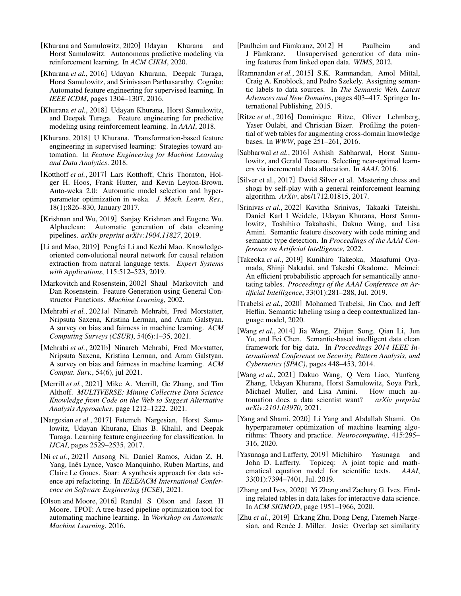- <span id="page-7-5"></span>[Khurana and Samulowitz, 2020] Udayan Khurana and Horst Samulowitz. Autonomous predictive modeling via reinforcement learning. In *ACM CIKM*, 2020.
- <span id="page-7-13"></span>[Khurana *et al.*, 2016] Udayan Khurana, Deepak Turaga, Horst Samulowitz, and Srinivasan Parthasarathy. Cognito: Automated feature engineering for supervised learning. In *IEEE ICDM*, pages 1304–1307, 2016.
- <span id="page-7-12"></span>[Khurana *et al.*, 2018] Udayan Khurana, Horst Samulowitz, and Deepak Turaga. Feature engineering for predictive modeling using reinforcement learning. In *AAAI*, 2018.
- <span id="page-7-0"></span>[Khurana, 2018] U Khurana. Transformation-based feature engineering in supervised learning: Strategies toward automation. In *Feature Engineering for Machine Learning and Data Analytics*. 2018.
- <span id="page-7-3"></span>[Kotthoff *et al.*, 2017] Lars Kotthoff, Chris Thornton, Holger H. Hoos, Frank Hutter, and Kevin Leyton-Brown. Auto-weka 2.0: Automatic model selection and hyperparameter optimization in weka. *J. Mach. Learn. Res.*, 18(1):826–830, January 2017.
- <span id="page-7-8"></span>[Krishnan and Wu, 2019] Sanjay Krishnan and Eugene Wu. Alphaclean: Automatic generation of data cleaning pipelines. *arXiv preprint arXiv:1904.11827*, 2019.
- <span id="page-7-25"></span>[Li and Mao, 2019] Pengfei Li and Kezhi Mao. Knowledgeoriented convolutional neural network for causal relation extraction from natural language texts. *Expert Systems with Applications*, 115:512–523, 2019.
- <span id="page-7-9"></span>[Markovitch and Rosenstein, 2002] Shaul Markovitch and Dan Rosenstein. Feature Generation using General Constructor Functions. *Machine Learning*, 2002.
- <span id="page-7-1"></span>[Mehrabi *et al.*, 2021a] Ninareh Mehrabi, Fred Morstatter, Nripsuta Saxena, Kristina Lerman, and Aram Galstyan. A survey on bias and fairness in machine learning. *ACM Computing Surveys (CSUR)*, 54(6):1–35, 2021.
- <span id="page-7-26"></span>[Mehrabi *et al.*, 2021b] Ninareh Mehrabi, Fred Morstatter, Nripsuta Saxena, Kristina Lerman, and Aram Galstyan. A survey on bias and fairness in machine learning. *ACM Comput. Surv.*, 54(6), jul 2021.
- <span id="page-7-22"></span>[Merrill *et al.*, 2021] Mike A. Merrill, Ge Zhang, and Tim Althoff. *MULTIVERSE: Mining Collective Data Science Knowledge from Code on the Web to Suggest Alternative Analysis Approaches*, page 1212–1222. 2021.
- <span id="page-7-10"></span>[Nargesian *et al.*, 2017] Fatemeh Nargesian, Horst Samulowitz, Udayan Khurana, Elias B. Khalil, and Deepak Turaga. Learning feature engineering for classification. In *IJCAI*, pages 2529–2535, 2017.
- <span id="page-7-23"></span>[Ni *et al.*, 2021] Ansong Ni, Daniel Ramos, Aidan Z. H. Yang, Inês Lynce, Vasco Manquinho, Ruben Martins, and Claire Le Goues. Soar: A synthesis approach for data science api refactoring. In *IEEE/ACM International Conference on Software Engineering (ICSE)*, 2021.
- <span id="page-7-4"></span>[Olson and Moore, 2016] Randal S Olson and Jason H Moore. TPOT: A tree-based pipeline optimization tool for automating machine learning. In *Workshop on Automatic Machine Learning*, 2016.
- <span id="page-7-14"></span>[Paulheim and Fümkranz, 2012] H Paulheim and J Fümkranz. Unsupervised generation of data mining features from linked open data. *WIMS*, 2012.
- <span id="page-7-16"></span>[Ramnandan *et al.*, 2015] S.K. Ramnandan, Amol Mittal, Craig A. Knoblock, and Pedro Szekely. Assigning semantic labels to data sources. In *The Semantic Web. Latest Advances and New Domains*, pages 403–417. Springer International Publishing, 2015.
- <span id="page-7-18"></span>[Ritze *et al.*, 2016] Dominique Ritze, Oliver Lehmberg, Yaser Oulabi, and Christian Bizer. Profiling the potential of web tables for augmenting cross-domain knowledge bases. In *WWW*, page 251–261, 2016.
- <span id="page-7-7"></span>[Sabharwal *et al.*, 2016] Ashish Sabharwal, Horst Samulowitz, and Gerald Tesauro. Selecting near-optimal learners via incremental data allocation. In *AAAI*, 2016.
- <span id="page-7-11"></span>[Silver et al., 2017] David Silver et al. Mastering chess and shogi by self-play with a general reinforcement learning algorithm. *ArXiv*, abs/1712.01815, 2017.
- <span id="page-7-15"></span>[Srinivas *et al.*, 2022] Kavitha Srinivas, Takaaki Tateishi, Daniel Karl I Weidele, Udayan Khurana, Horst Samulowitz, Toshihiro Takahashi, Dakuo Wang, and Lisa Amini. Semantic feature discovery with code mining and semantic type detection. In *Proceedings of the AAAI Conference on Artificial Intelligence*, 2022.
- <span id="page-7-17"></span>[Takeoka *et al.*, 2019] Kunihiro Takeoka, Masafumi Oyamada, Shinji Nakadai, and Takeshi Okadome. Meimei: An efficient probabilistic approach for semantically annotating tables. *Proceedings of the AAAI Conference on Artificial Intelligence*, 33(01):281–288, Jul. 2019.
- <span id="page-7-19"></span>[Trabelsi *et al.*, 2020] Mohamed Trabelsi, Jin Cao, and Jeff Heflin. Semantic labeling using a deep contextualized language model, 2020.
- <span id="page-7-2"></span>[Wang *et al.*, 2014] Jia Wang, Zhijun Song, Qian Li, Jun Yu, and Fei Chen. Semantic-based intelligent data clean framework for big data. In *Proceedings 2014 IEEE International Conference on Security, Pattern Analysis, and Cybernetics (SPAC)*, pages 448–453, 2014.
- <span id="page-7-27"></span>[Wang *et al.*, 2021] Dakuo Wang, Q Vera Liao, Yunfeng Zhang, Udayan Khurana, Horst Samulowitz, Soya Park, Michael Muller, and Lisa Amini. How much automation does a data scientist want? *arXiv preprint arXiv:2101.03970*, 2021.
- <span id="page-7-6"></span>[Yang and Shami, 2020] Li Yang and Abdallah Shami. On hyperparameter optimization of machine learning algorithms: Theory and practice. *Neurocomputing*, 415:295– 316, 2020.
- <span id="page-7-24"></span>[Yasunaga and Lafferty, 2019] Michihiro Yasunaga and John D. Lafferty. Topiceq: A joint topic and mathematical equation model for scientific texts. *AAAI*, 33(01):7394–7401, Jul. 2019.
- <span id="page-7-20"></span>[Zhang and Ives, 2020] Yi Zhang and Zachary G. Ives. Finding related tables in data lakes for interactive data science. In *ACM SIGMOD*, page 1951–1966, 2020.
- <span id="page-7-21"></span>[Zhu *et al.*, 2019] Erkang Zhu, Dong Deng, Fatemeh Nargesian, and Renée J. Miller. Josie: Overlap set similarity